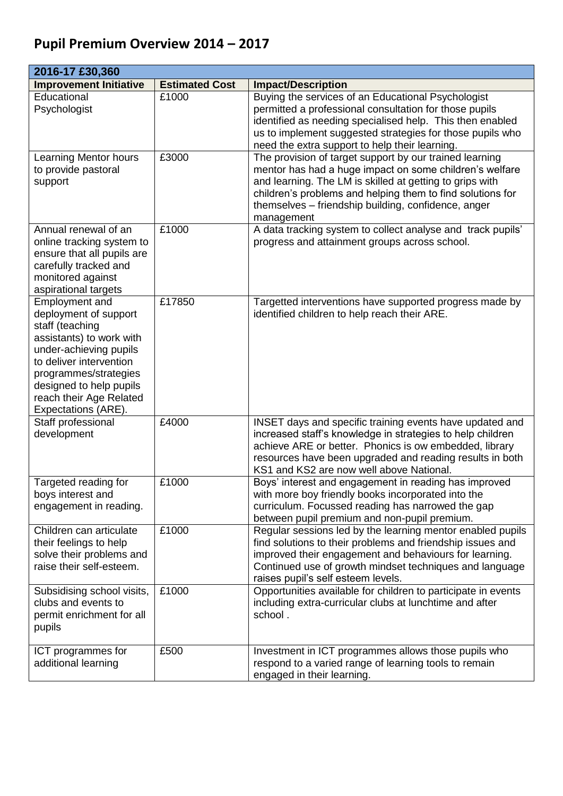## **Pupil Premium Overview 2014 – 2017**

| 2016-17 £30,360                                                                                                                                                                                                                                   |                       |                                                                                                                                                                                                                                                                                                                   |  |  |
|---------------------------------------------------------------------------------------------------------------------------------------------------------------------------------------------------------------------------------------------------|-----------------------|-------------------------------------------------------------------------------------------------------------------------------------------------------------------------------------------------------------------------------------------------------------------------------------------------------------------|--|--|
| <b>Improvement Initiative</b>                                                                                                                                                                                                                     | <b>Estimated Cost</b> | <b>Impact/Description</b>                                                                                                                                                                                                                                                                                         |  |  |
| Educational<br>Psychologist                                                                                                                                                                                                                       | £1000                 | Buying the services of an Educational Psychologist<br>permitted a professional consultation for those pupils<br>identified as needing specialised help. This then enabled<br>us to implement suggested strategies for those pupils who<br>need the extra support to help their learning.                          |  |  |
| <b>Learning Mentor hours</b><br>to provide pastoral<br>support                                                                                                                                                                                    | £3000                 | The provision of target support by our trained learning<br>mentor has had a huge impact on some children's welfare<br>and learning. The LM is skilled at getting to grips with<br>children's problems and helping them to find solutions for<br>themselves - friendship building, confidence, anger<br>management |  |  |
| Annual renewal of an<br>online tracking system to<br>ensure that all pupils are<br>carefully tracked and<br>monitored against<br>aspirational targets                                                                                             | £1000                 | A data tracking system to collect analyse and track pupils'<br>progress and attainment groups across school.                                                                                                                                                                                                      |  |  |
| Employment and<br>deployment of support<br>staff (teaching<br>assistants) to work with<br>under-achieving pupils<br>to deliver intervention<br>programmes/strategies<br>designed to help pupils<br>reach their Age Related<br>Expectations (ARE). | £17850                | Targetted interventions have supported progress made by<br>identified children to help reach their ARE.                                                                                                                                                                                                           |  |  |
| Staff professional<br>development                                                                                                                                                                                                                 | £4000                 | INSET days and specific training events have updated and<br>increased staff's knowledge in strategies to help children<br>achieve ARE or better. Phonics is ow embedded, library<br>resources have been upgraded and reading results in both<br>KS1 and KS2 are now well above National.                          |  |  |
| Targeted reading for<br>boys interest and<br>engagement in reading.                                                                                                                                                                               | £1000                 | Boys' interest and engagement in reading has improved<br>with more boy friendly books incorporated into the<br>curriculum. Focussed reading has narrowed the gap<br>between pupil premium and non-pupil premium.                                                                                                  |  |  |
| Children can articulate<br>their feelings to help<br>solve their problems and<br>raise their self-esteem.                                                                                                                                         | £1000                 | Regular sessions led by the learning mentor enabled pupils<br>find solutions to their problems and friendship issues and<br>improved their engagement and behaviours for learning.<br>Continued use of growth mindset techniques and language<br>raises pupil's self esteem levels.                               |  |  |
| Subsidising school visits,<br>clubs and events to<br>permit enrichment for all<br>pupils                                                                                                                                                          | £1000                 | Opportunities available for children to participate in events<br>including extra-curricular clubs at lunchtime and after<br>school.                                                                                                                                                                               |  |  |
| ICT programmes for<br>additional learning                                                                                                                                                                                                         | £500                  | Investment in ICT programmes allows those pupils who<br>respond to a varied range of learning tools to remain<br>engaged in their learning.                                                                                                                                                                       |  |  |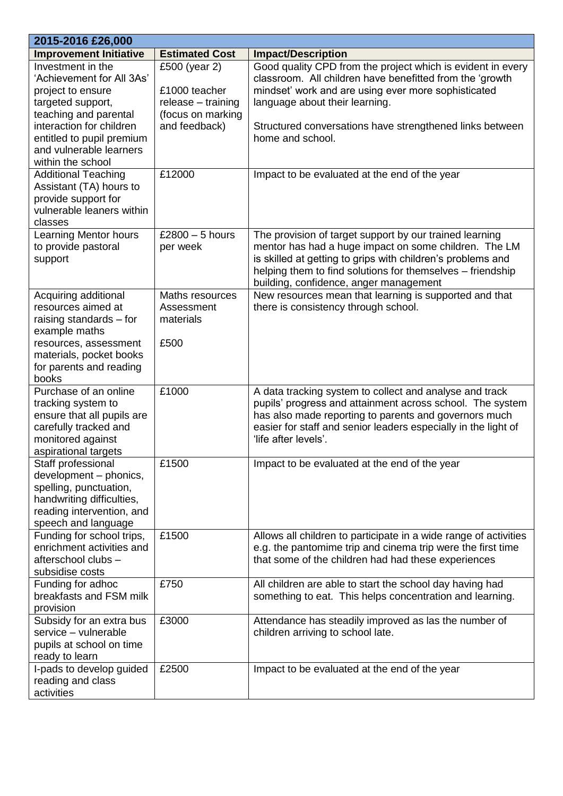| 2015-2016 £26,000                                                                                                                                       |                                                      |                                                                                                                                                                                                                                                                                         |
|---------------------------------------------------------------------------------------------------------------------------------------------------------|------------------------------------------------------|-----------------------------------------------------------------------------------------------------------------------------------------------------------------------------------------------------------------------------------------------------------------------------------------|
| <b>Improvement Initiative</b>                                                                                                                           | <b>Estimated Cost</b>                                | <b>Impact/Description</b>                                                                                                                                                                                                                                                               |
| Investment in the<br>'Achievement for All 3As'<br>project to ensure<br>targeted support,                                                                | £500 (year 2)<br>£1000 teacher<br>release - training | Good quality CPD from the project which is evident in every<br>classroom. All children have benefitted from the 'growth<br>mindset' work and are using ever more sophisticated<br>language about their learning.                                                                        |
| teaching and parental<br>interaction for children<br>entitled to pupil premium<br>and vulnerable learners<br>within the school                          | (focus on marking<br>and feedback)                   | Structured conversations have strengthened links between<br>home and school.                                                                                                                                                                                                            |
| <b>Additional Teaching</b><br>Assistant (TA) hours to<br>provide support for<br>vulnerable leaners within<br>classes                                    | £12000                                               | Impact to be evaluated at the end of the year                                                                                                                                                                                                                                           |
| <b>Learning Mentor hours</b><br>to provide pastoral<br>support                                                                                          | £2800 $-5$ hours<br>per week                         | The provision of target support by our trained learning<br>mentor has had a huge impact on some children. The LM<br>is skilled at getting to grips with children's problems and<br>helping them to find solutions for themselves - friendship<br>building, confidence, anger management |
| Acquiring additional<br>resources aimed at<br>raising standards - for<br>example maths                                                                  | Maths resources<br>Assessment<br>materials           | New resources mean that learning is supported and that<br>there is consistency through school.                                                                                                                                                                                          |
| resources, assessment<br>materials, pocket books<br>for parents and reading<br>books                                                                    | £500                                                 |                                                                                                                                                                                                                                                                                         |
| Purchase of an online<br>tracking system to<br>ensure that all pupils are<br>carefully tracked and<br>monitored against<br>aspirational targets         | £1000                                                | A data tracking system to collect and analyse and track<br>pupils' progress and attainment across school. The system<br>has also made reporting to parents and governors much<br>easier for staff and senior leaders especially in the light of<br>'life after levels'.                 |
| Staff professional<br>development - phonics,<br>spelling, punctuation,<br>handwriting difficulties,<br>reading intervention, and<br>speech and language | £1500                                                | Impact to be evaluated at the end of the year                                                                                                                                                                                                                                           |
| Funding for school trips,<br>enrichment activities and<br>afterschool clubs -<br>subsidise costs                                                        | £1500                                                | Allows all children to participate in a wide range of activities<br>e.g. the pantomime trip and cinema trip were the first time<br>that some of the children had had these experiences                                                                                                  |
| Funding for adhoc<br>breakfasts and FSM milk<br>provision                                                                                               | £750                                                 | All children are able to start the school day having had<br>something to eat. This helps concentration and learning.                                                                                                                                                                    |
| Subsidy for an extra bus<br>service - vulnerable<br>pupils at school on time<br>ready to learn                                                          | £3000                                                | Attendance has steadily improved as las the number of<br>children arriving to school late.                                                                                                                                                                                              |
| I-pads to develop guided<br>reading and class<br>activities                                                                                             | £2500                                                | Impact to be evaluated at the end of the year                                                                                                                                                                                                                                           |